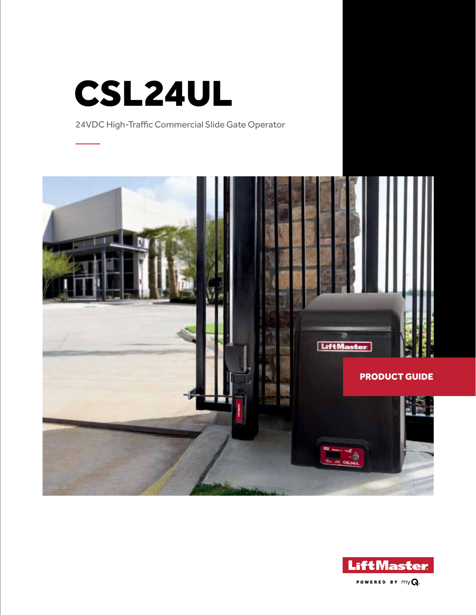



# CSL24UL

24VDC High-Traffic Commercial Slide Gate Operator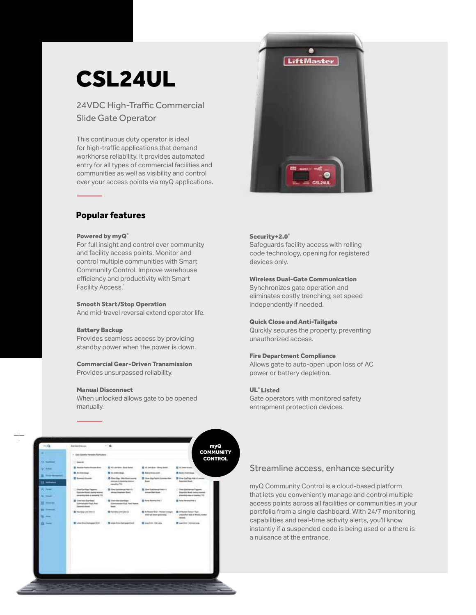# CSL24UL

## 24VDC High-Traffic Commercial Slide Gate Operator

This continuous duty operator is ideal for high-traffic applications that demand workhorse reliability. It provides automated entry for all types of commercial facilities and communities as well as visibility and control over your access points via myQ applications.

#### Popular features

#### Powered by myQ<sup>®</sup>

For full insight and control over community and facility access points. Monitor and control multiple communities with Smart Community Control. Improve warehouse efficiency and productivity with Smart Facility Access.\*

#### Smooth Start/Stop Operation

And mid-travel reversal extend operator life.

#### Battery Backup

Provides seamless access by providing standby power when the power is down.

#### Commercial Gear-Driven Transmission Provides unsurpassed reliability.

#### Manual Disconnect

When unlocked allows gate to be opened manually.





#### Security+2.0°

Safeguards facility access with rolling code technology, opening for registered devices only.

#### Wireless Dual-Gate Communication

Synchronizes gate operation and eliminates costly trenching; set speed independently if needed.

#### Quick Close and Anti-Tailgate

Quickly secures the property, preventing unauthorized access.

#### Fire Department Compliance

Allows gate to auto-open upon loss of AC power or battery depletion.

#### UL® Listed

Gate operators with monitored safety entrapment protection devices.

#### Streamline access, enhance security

myQ Community Control is a cloud-based platform that lets you conveniently manage and control multiple access points across all facilities or communities in your portfolio from a single dashboard. With 24/7 monitoring capabilities and real-time activity alerts, you'll know instantly if a suspended code is being used or a there is a nuisance at the entrance.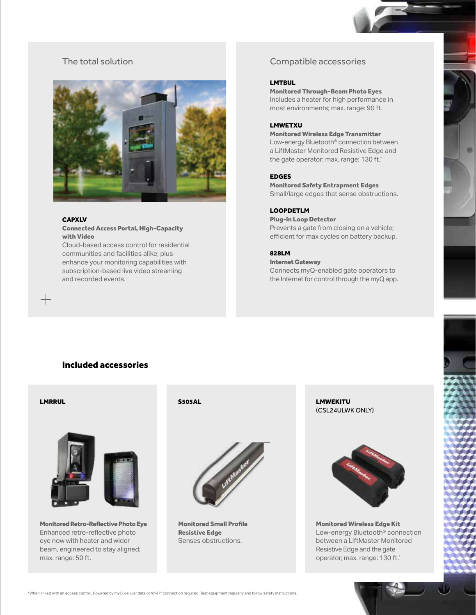

#### **CAPXLV**

#### Connected Access Portal, High-Capacity with Video

Cloud-based access control for residential communities and facilities alike; plus enhance your monitoring capabilities with subscription-based live video streaming and recorded events.

#### The total solution Compatible accessories

#### LMTBUL

Monitored Through-Beam Photo Eyes Includes a heater for high performance in most environments; max. range: 90 ft.

#### LMWETXU

#### Monitored Wireless Edge Transmitter

Low-energy Bluetooth® connection between a LiftMaster Monitored Resistive Edge and the gate operator; max. range: 130 ft.\*

#### EDGES

Monitored Safety Entrapment Edges Small/large edges that sense obstructions.

#### LOOPDETLM

Plug-in Loop Detector Prevents a gate from closing on a vehicle; efficient for max cycles on battery backup.

#### 828LM

#### Internet Gateway

Connects myQ-enabled gate operators to the Internet for control through the myQ app.

### Included accessories

╅



Monitored Retro-Reflective Photo Eye Enhanced retro-reflective photo eye now with heater and wider beam, engineered to stay aligned; max. range: 50 ft.



Monitored Small Profile Resistive Edge Senses obstructions.

LMRRUL S505AL LMWEKITU (CSL24ULWK ONLY)



Monitored Wireless Edge Kit Low-energy Bluetooth® connection between a LiftMaster Monitored Resistive Edge and the gate operator; max. range: 130 ft.\*